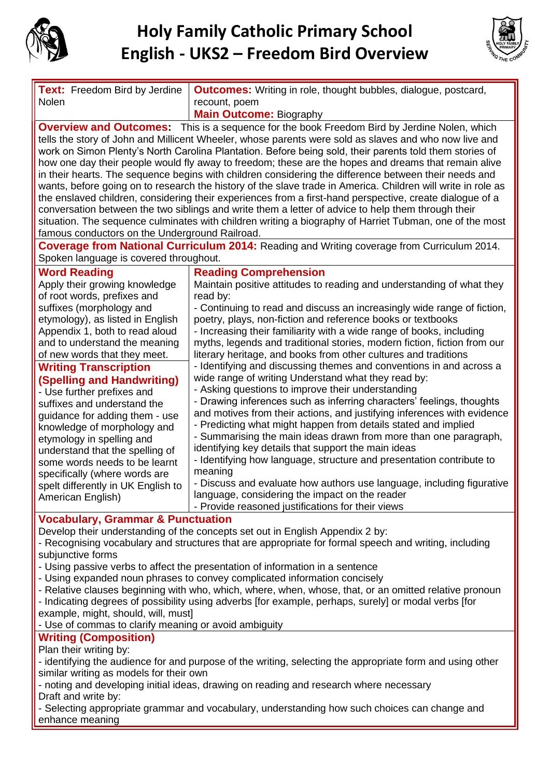

## **Holy Family Catholic Primary School English - UKS2 – Freedom Bird Overview**



| Text: Freedom Bird by Jerdine<br>Nolen                                                                                                                                                                                                                                                                                                                                                                                                                                                                                                                                                                                                                                                                                                                                                                                                                                                                                                                                                                                                 | <b>Outcomes:</b> Writing in role, thought bubbles, dialogue, postcard,<br>recount, poem                                                                                                                                                                                                                                                                                                                                                                                                                                                                                                                                                                                                                                                                                                                                                                                                                                                                                                                                                                                                                                                                                                                                                                                                   |
|----------------------------------------------------------------------------------------------------------------------------------------------------------------------------------------------------------------------------------------------------------------------------------------------------------------------------------------------------------------------------------------------------------------------------------------------------------------------------------------------------------------------------------------------------------------------------------------------------------------------------------------------------------------------------------------------------------------------------------------------------------------------------------------------------------------------------------------------------------------------------------------------------------------------------------------------------------------------------------------------------------------------------------------|-------------------------------------------------------------------------------------------------------------------------------------------------------------------------------------------------------------------------------------------------------------------------------------------------------------------------------------------------------------------------------------------------------------------------------------------------------------------------------------------------------------------------------------------------------------------------------------------------------------------------------------------------------------------------------------------------------------------------------------------------------------------------------------------------------------------------------------------------------------------------------------------------------------------------------------------------------------------------------------------------------------------------------------------------------------------------------------------------------------------------------------------------------------------------------------------------------------------------------------------------------------------------------------------|
|                                                                                                                                                                                                                                                                                                                                                                                                                                                                                                                                                                                                                                                                                                                                                                                                                                                                                                                                                                                                                                        | <b>Main Outcome: Biography</b>                                                                                                                                                                                                                                                                                                                                                                                                                                                                                                                                                                                                                                                                                                                                                                                                                                                                                                                                                                                                                                                                                                                                                                                                                                                            |
| <b>Overview and Outcomes:</b> This is a sequence for the book Freedom Bird by Jerdine Nolen, which<br>tells the story of John and Millicent Wheeler, whose parents were sold as slaves and who now live and<br>work on Simon Plenty's North Carolina Plantation. Before being sold, their parents told them stories of<br>how one day their people would fly away to freedom; these are the hopes and dreams that remain alive<br>in their hearts. The sequence begins with children considering the difference between their needs and<br>wants, before going on to research the history of the slave trade in America. Children will write in role as<br>the enslaved children, considering their experiences from a first-hand perspective, create dialogue of a<br>conversation between the two siblings and write them a letter of advice to help them through their<br>situation. The sequence culminates with children writing a biography of Harriet Tubman, one of the most<br>famous conductors on the Underground Railroad. |                                                                                                                                                                                                                                                                                                                                                                                                                                                                                                                                                                                                                                                                                                                                                                                                                                                                                                                                                                                                                                                                                                                                                                                                                                                                                           |
| Coverage from National Curriculum 2014: Reading and Writing coverage from Curriculum 2014.<br>Spoken language is covered throughout.                                                                                                                                                                                                                                                                                                                                                                                                                                                                                                                                                                                                                                                                                                                                                                                                                                                                                                   |                                                                                                                                                                                                                                                                                                                                                                                                                                                                                                                                                                                                                                                                                                                                                                                                                                                                                                                                                                                                                                                                                                                                                                                                                                                                                           |
| <b>Word Reading</b><br>Apply their growing knowledge<br>of root words, prefixes and<br>suffixes (morphology and<br>etymology), as listed in English<br>Appendix 1, both to read aloud<br>and to understand the meaning<br>of new words that they meet.<br><b>Writing Transcription</b><br>(Spelling and Handwriting)<br>- Use further prefixes and<br>suffixes and understand the<br>guidance for adding them - use<br>knowledge of morphology and<br>etymology in spelling and<br>understand that the spelling of<br>some words needs to be learnt<br>specifically (where words are<br>spelt differently in UK English to<br>American English)                                                                                                                                                                                                                                                                                                                                                                                        | <b>Reading Comprehension</b><br>Maintain positive attitudes to reading and understanding of what they<br>read by:<br>- Continuing to read and discuss an increasingly wide range of fiction,<br>poetry, plays, non-fiction and reference books or textbooks<br>- Increasing their familiarity with a wide range of books, including<br>myths, legends and traditional stories, modern fiction, fiction from our<br>literary heritage, and books from other cultures and traditions<br>- Identifying and discussing themes and conventions in and across a<br>wide range of writing Understand what they read by:<br>- Asking questions to improve their understanding<br>- Drawing inferences such as inferring characters' feelings, thoughts<br>and motives from their actions, and justifying inferences with evidence<br>- Predicting what might happen from details stated and implied<br>- Summarising the main ideas drawn from more than one paragraph,<br>identifying key details that support the main ideas<br>- Identifying how language, structure and presentation contribute to<br>meaning<br>- Discuss and evaluate how authors use language, including figurative<br>language, considering the impact on the reader<br>- Provide reasoned justifications for their views |
| <b>Vocabulary, Grammar &amp; Punctuation</b><br>Develop their understanding of the concepts set out in English Appendix 2 by:<br>- Recognising vocabulary and structures that are appropriate for formal speech and writing, including<br>subjunctive forms<br>- Using passive verbs to affect the presentation of information in a sentence<br>- Using expanded noun phrases to convey complicated information concisely<br>- Relative clauses beginning with who, which, where, when, whose, that, or an omitted relative pronoun<br>- Indicating degrees of possibility using adverbs [for example, perhaps, surely] or modal verbs [for<br>example, might, should, will, must]<br>- Use of commas to clarify meaning or avoid ambiguity                                                                                                                                                                                                                                                                                            |                                                                                                                                                                                                                                                                                                                                                                                                                                                                                                                                                                                                                                                                                                                                                                                                                                                                                                                                                                                                                                                                                                                                                                                                                                                                                           |
| <b>Writing (Composition)</b><br>Plan their writing by:                                                                                                                                                                                                                                                                                                                                                                                                                                                                                                                                                                                                                                                                                                                                                                                                                                                                                                                                                                                 |                                                                                                                                                                                                                                                                                                                                                                                                                                                                                                                                                                                                                                                                                                                                                                                                                                                                                                                                                                                                                                                                                                                                                                                                                                                                                           |

- identifying the audience for and purpose of the writing, selecting the appropriate form and using other similar writing as models for their own

- noting and developing initial ideas, drawing on reading and research where necessary Draft and write by:

- Selecting appropriate grammar and vocabulary, understanding how such choices can change and enhance meaning